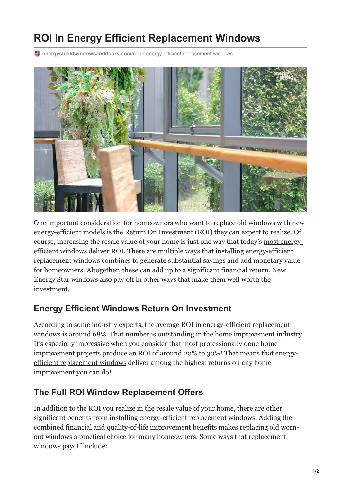## **ROI In Energy Efficient Replacement Windows**

**energyshieldwindowsanddoors.com**[/roi-in-energy-efficient-replacement-windows](https://energyshieldwindowsanddoors.com/roi-in-energy-efficient-replacement-windows/)



One important consideration for homeowners who want to replace old windows with new energy-efficient models is the Return On Investment (ROI) they can expect to realize. Of [course, increasing the resale value of your home is just one way that today's most energy](https://energyshieldwindowsanddoors.com/vinyl-windows-arizona/)efficient windows deliver ROI. There are multiple ways that installing energy-efficient replacement windows combines to generate substantial savings and add monetary value for homeowners. Altogether, these can add up to a significant financial return. New Energy Star windows also pay off in other ways that make them well worth the investment.

## **Energy Efficient Windows Return On Investment**

According to some industry experts, the average ROI in energy-efficient replacement windows is around 68%. That number is outstanding in the home improvement industry. It's especially impressive when you consider that most professionally done home [improvement projects produce an ROI of around 20% to 30%! That means that energy](https://energyshieldwindowsanddoors.com/how-to-choose-the-best-windows-for-the-arizona-climate/)efficient replacement windows deliver among the highest returns on any home improvement you can do!

## **The Full ROI Window Replacement Offers**

In addition to the ROI you realize in the resale value of your home, there are other significant benefits from installing [energy-efficient replacement windows.](https://energyshieldwindowsanddoors.com/replacement-windows/) Adding the combined financial and quality-of-life improvement benefits makes replacing old wornout windows a practical choice for many homeowners. Some ways that replacement windows payoff include: